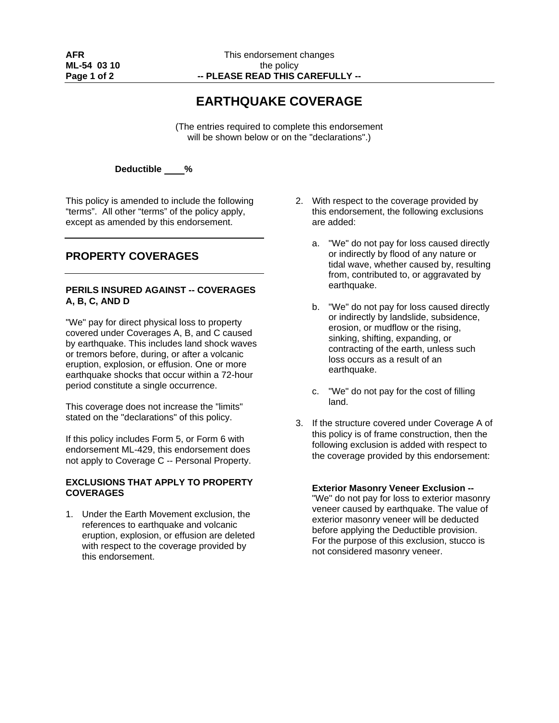# **EARTHQUAKE COVERAGE**

(The entries required to complete this endorsement will be shown below or on the "declarations".)

**Deductible %** 

This policy is amended to include the following "terms". All other "terms" of the policy apply, except as amended by this endorsement.

## **PROPERTY COVERAGES**

#### **PERILS INSURED AGAINST -- COVERAGES A, B, C, AND D**

"We" pay for direct physical loss to property covered under Coverages A, B, and C caused by earthquake. This includes land shock waves or tremors before, during, or after a volcanic eruption, explosion, or effusion. One or more earthquake shocks that occur within a 72-hour period constitute a single occurrence.

This coverage does not increase the "limits" stated on the "declarations" of this policy.

If this policy includes Form 5, or Form 6 with endorsement ML-429, this endorsement does not apply to Coverage C -- Personal Property.

#### **EXCLUSIONS THAT APPLY TO PROPERTY COVERAGES**

1. Under the Earth Movement exclusion, the references to earthquake and volcanic eruption, explosion, or effusion are deleted with respect to the coverage provided by this endorsement.

- 2. With respect to the coverage provided by this endorsement, the following exclusions are added:
	- a. "We" do not pay for loss caused directly or indirectly by flood of any nature or tidal wave, whether caused by, resulting from, contributed to, or aggravated by earthquake.
	- b. "We" do not pay for loss caused directly or indirectly by landslide, subsidence, erosion, or mudflow or the rising, sinking, shifting, expanding, or contracting of the earth, unless such loss occurs as a result of an earthquake.
	- c. "We" do not pay for the cost of filling land.
- 3. If the structure covered under Coverage A of this policy is of frame construction, then the following exclusion is added with respect to the coverage provided by this endorsement:

#### **Exterior Masonry Veneer Exclusion --**

"We" do not pay for loss to exterior masonry veneer caused by earthquake. The value of exterior masonry veneer will be deducted before applying the Deductible provision. For the purpose of this exclusion, stucco is not considered masonry veneer.